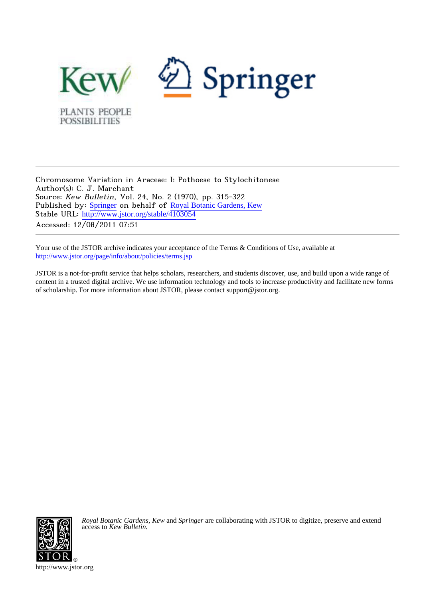

Chromosome Variation in Araceae: I: Pothoeae to Stylochitoneae Author(s): C. J. Marchant Source: Kew Bulletin, Vol. 24, No. 2 (1970), pp. 315-322 Published by: [Springer](http://www.jstor.org/action/showPublisher?publisherCode=springer) on behalf of [Royal Botanic Gardens, Kew](http://www.jstor.org/action/showPublisher?publisherCode=kew) Stable URL: [http://www.jstor.org/stable/4103054](http://www.jstor.org/stable/4103054?origin=JSTOR-pdf) Accessed: 12/08/2011 07:51

Your use of the JSTOR archive indicates your acceptance of the Terms & Conditions of Use, available at <http://www.jstor.org/page/info/about/policies/terms.jsp>

JSTOR is a not-for-profit service that helps scholars, researchers, and students discover, use, and build upon a wide range of content in a trusted digital archive. We use information technology and tools to increase productivity and facilitate new forms of scholarship. For more information about JSTOR, please contact support@jstor.org.



*Royal Botanic Gardens, Kew* and *Springer* are collaborating with JSTOR to digitize, preserve and extend access to *Kew Bulletin.*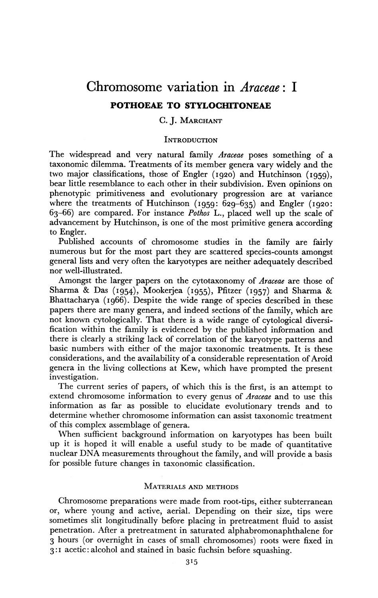# **Chromosome variation in Araceae: I POTHOEAE TO STYLOCHITONEAE**

## **C. J. MARCHANT**

#### **INTRODUCTION**

**The widespread and very natural family Araceae poses something of a taxonomic dilemma. Treatments of its member genera vary widely and the two major classifications, those of Engler (1920) and Hutchinson (I959), bear little resemblance to each other in their subdivision. Even opinions on phenotypic primitiveness and evolutionary progression are at variance where the treatments of Hutchinson (1959: 629-635) and Engler (1920: 63-66) are compared. For instance Pothos L., placed well up the scale of advancement by Hutchinson, is one of the most primitive genera according to Engler.** 

**Published accounts of chromosome studies in the family are fairly numerous but for the most part they are scattered species-counts amongst general lists and very often the karyotypes are neither adequately described nor well-illustrated.** 

**Amongst the larger papers on the cytotaxonomy of Araceae are those of Sharma & Das (1954), Mookerjea (1955), Pfitzer (i957) and Sharma & Bhattacharya (1966). Despite the wide range of species described in these papers there are many genera, and indeed sections of the family, which are not known cytologically. That there is a wide range of cytological diversification within the family is evidenced by the published information and there is clearly a striking lack of correlation of the karyotype patterns and basic numbers with either of the major taxonomic treatments. It is these considerations, and the availability of a considerable representation of Aroid genera in the living collections at Kew, which have prompted the present investigation.** 

**The current series of papers, of which this is the first, is an attempt to extend chromosome information to every genus of Araceae and to use this information as far as possible to elucidate evolutionary trends and to determine whether chromosome information can assist taxonomic treatment of this complex assemblage of genera.** 

**When sufficient background information on karyotypes has been built up it is hoped it will enable a useful study to be made of quantitative nuclear DNA measurements throughout the family, and will provide a basis for possible future changes in taxonomic classification.** 

#### **MATERIALS AND METHODS**

**Chromosome preparations were made from root-tips, either subterranean or, where young and active, aerial. Depending on their size, tips were sometimes slit longitudinally before placing in pretreatment fluid to assist penetration. After a pretreatment in saturated alphabromonaphthalene for 3 hours (or overnight in cases of small chromosomes) roots were fixed in 3:I acetic:alcohol and stained in basic fuchsin before squashing.**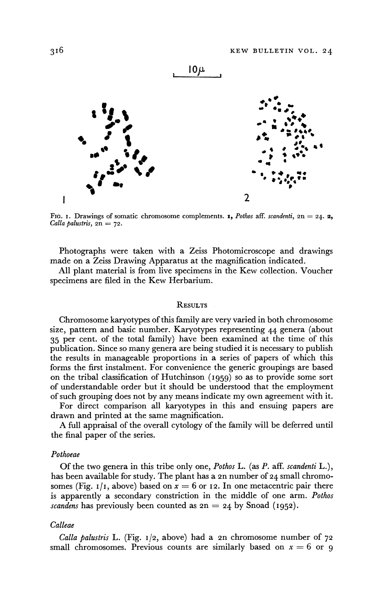

FIG. **1.** Drawings of somatic chromosome complements. **1,** Pothos aff. scandenti,  $2n = 24$ . **2,**  $Calla$  palustris,  $2n = 72$ .

**Photographs were taken with a Zeiss Photomicroscope and drawings made on a Zeiss Drawing Apparatus at the magnification indicated.** 

**All plant material is from live specimens in the Kew collection. Voucher specimens are filed in the Kew Herbarium.** 

#### **RESULTS**

**Chromosome karyotypes of this family are very varied in both chromosome size, pattern and basic number. Karyotypes representing 44 genera (about 35 per cent. of the total family) have been examined at the time of this publication. Since so many genera are being studied it is necessary to publish the results in manageable proportions in a series of papers of which this forms the first instalment. For convenience the generic groupings are based on the tribal classification of Hutchinson (1959) so as to provide some sort of understandable order but it should be understood that the employment of such grouping does not by any means indicate my own agreement with it.** 

**For direct comparison all karyotypes in this and ensuing papers are drawn and printed at the same magnification.** 

**A full appraisal of the overall cytology of the family will be deferred until the final paper of the series.** 

#### **Pothoeae**

**Of the two genera in this tribe only one, Pothos L. (as P. aff. scandenti L.), has been available for study. The plant has a 2n number of 24 small chromo**somes (Fig.  $I/I$ , above) based on  $x = 6$  or 12. In one metacentric pair there **is apparently a secondary constriction in the middle of one arm. Pothos**  *scandens* has previously been counted as  $2n = 24$  by Snoad (1952).

### **Calleae**

**Calla palustris L. (Fig. 1/2, above) had a 2n chromosome number of 72**  small chromosomes. Previous counts are similarly based on  $x = 6$  or 9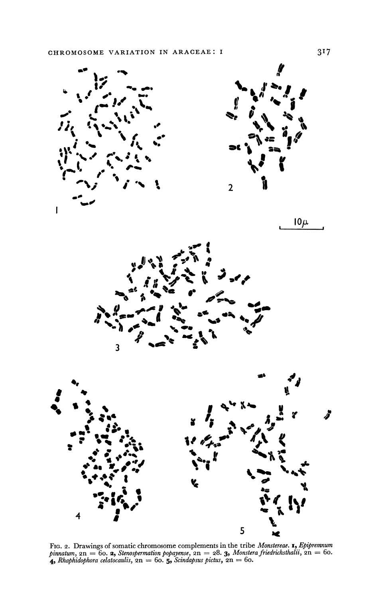



 $10\mu$ 





FIG. 2. Drawings of somatic chromosome complements in the tribe *Monstereae*. **1**, *Epipremnum* pinnatum, 2n = 60. **2**, *Stenospermation popayense*, 2n = 28. **3**, *Monstera friedrichsthalii*, 2n = 60. **4**, *Rhaphidophora*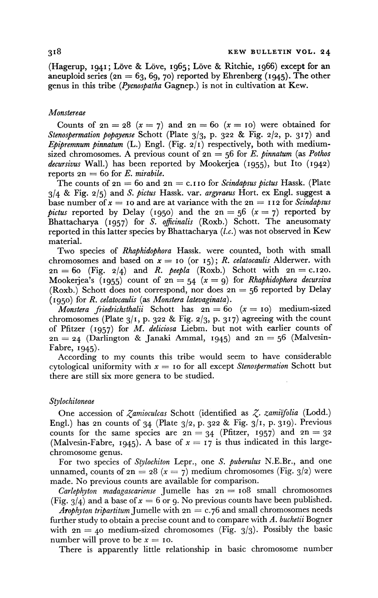**(Hagerup, 1941; L6ve & L6ve, 1965; Love & Ritchie, I966) except for an aneuploid series (2n = 63, 69, 70) reported by Ehrenberg (i945). The other genus in this tribe (Pycnospatha Gagnep.) is not in cultivation at Kew.** 

#### **Monstereae**

Counts of  $2n = 28$   $(x = 7)$  and  $2n = 60$   $(x = 10)$  were obtained for **Stenospermation popayense Schott (Plate 3/3, P- 322 & Fig. 2/2, p. 317) and Epipremnum pinnatum (L.) Engl. (Fig. 2/1) respectively, both with medium**sized chromosomes. A previous count of  $2n = 56$  for E. pinnatum (as Pothos **decursivus Wall.) has been reported by Mookerjea (I955), but Ito (1942)**  reports  $2n = 60$  for E. mirabile.

The counts of  $2n = 60$  and  $2n = c$ . I I o for *Scindapsus pictus* Hassk. (Plate **3/4 & Fig. 2/5) and S. pictus Hassk. var. argyraeus Hort. ex Engl. suggest a**  base number of  $x = 10$  and are at variance with the  $2n = 112$  for *Scindapsus pictus* reported by Delay (1950) and the  $2n = 56$  ( $x = 7$ ) reported by **Bhattacharya (I957) for S. oficinalis (Roxb.) Schott. The aneusomaty reported in this latter species by Bhattacharya (l.c.) was not observed in Kew material.** 

**Two species of Rhaphidophora Hassk. were counted, both with small**  chromosomes and based on  $x = 10$  (or  $15$ ); R. *celatocaulis* Alderwer. with  $2n = 60$  (Fig.  $2/4$ ) and *R. peepla* (Roxb.) Schott with  $2n = c.120$ . **Mookerjea's** (1955) count of  $2n = 54$  ( $x = 9$ ) for *Rhaphidophora decursiva* **(Roxb.) Schott does not correspond, nor does 2n = 56 reported by Delay (1950) for R. celatocaulis (as Monstera latevaginata).** 

*Monstera friedrichsthalii* Schott has  $2n = 60$   $(x = 10)$  medium-sized **chromosomes (Plate 3/I, p. 322 & Fig. 2/3, p. 317) agreeing with the count of Pfitzer (i957) for M. deliciosa Liebm. but not with earlier counts of 2n = 24 (Darlington & Janaki Ammal, 1945) and 2n - 56 (Malvesin-Fabre, 1945).** 

**According to my counts this tribe would seem to have considerable**  cytological uniformity with  $x =$  10 for all except *Stenospermation* Schott but **there are still six more genera to be studied.** 

#### **Stylochitoneae**

**One accession of Zamioculcas Schott (identified as Z. zamiifolia (Lodd.) Engl.) has 2n counts of 34 (Plate 3/2, p. 322 & Fig. 3/1, p. 319). Previous**  counts for the same species are  $2n = 34$  (Pfitzer, 1957) and  $2n = 32$ (Malvesin-Fabre, 1945). A base of  $x = 17$  is thus indicated in this large**chromosome genus.** 

**For two species of Stylochiton Lepr., one S. puberulus N.E.Br., and one**  unnamed, counts of  $2n = 28$  ( $x = 7$ ) medium chromosomes (Fig. 3/2) were **made. No previous counts are available for comparison.** 

**Carlephyton madagascariense Jumelle has 2n = Io8 small chromosomes**  (Fig.  $3/4$ ) and a base of  $x = 6$  or 9. No previous counts have been published.

**Arophyton tripartitum Jumelle with 2n = c.76 and small chromosomes needs further study to obtain a precise count and to compare with A. buchetii Bogner**  with  $2n = 40$  medium-sized chromosomes (Fig.  $3/3$ ). Possibly the basic number will prove to be  $x = 10$ .

**There is apparently little relationship in basic chromosome number**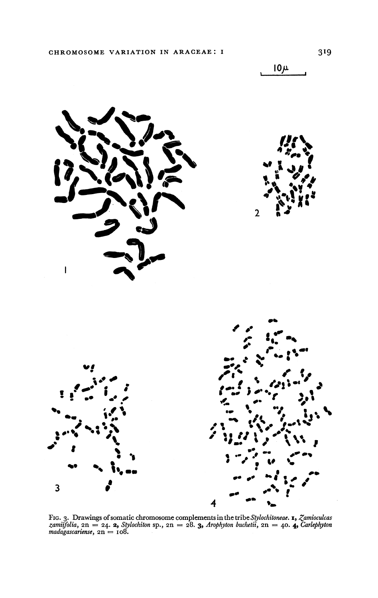

FIG. 3. Drawings of somatic chromosome complements in the tribe Stylochitoneae. **1,** Zamicculcas zamiifolia,  $2n = 24$ . **2,** Stylochiton sp.,  $2n = 28$ . **3,** Arophyton buchetii,  $2n = 40$ . **4,** Carlephyton madagascariense,

 $10<sub>\mu</sub>$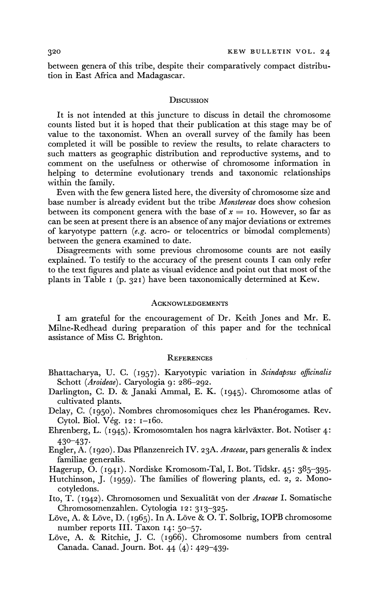**between genera of this tribe, despite their comparatively compact distribution in East Africa and Madagascar.** 

#### **DIscuSSIoN**

**It is not intended at this juncture to discuss in detail the chromosome counts listed but it is hoped that their publication at this stage may be of value to the taxonomist. When an overall survey of the family has been completed it will be possible to review the results, to relate characters to such matters as geographic distribution and reproductive systems, and to comment on the usefulness or otherwise of chromosome information in helping to determine evolutionary trends and taxonomic relationships within the family.** 

**Even with the few genera listed here, the diversity of chromosome size and base number is already evident but the tribe Monstereae does show cohesion**  between its component genera with the base of  $x = 10$ . However, so far as **can be seen at present there is an absence of any major deviations or extremes of karyotype pattern (e.g. acro- or telocentrics or bimodal complements) between the genera examined to date.** 

**Disagreements with some previous chromosome counts are not easily explained. To testify to the accuracy of the present counts I can only refer to the text figures and plate as visual evidence and point out that most of the plants in Table I (p. 321) have been taxonomically determined at Kew.** 

#### **ACKNOWLEDGEMENTS**

**I am grateful for the encouragement of Dr. Keith Jones and Mr. E. Milne-Redhead during preparation of this paper and for the technical assistance of Miss C. Brighton.** 

#### **REFERENCES**

- **Bhattacharya, U. C. (I957). Karyotypic variation in Scindapsus officinalis Schott (Aroideae). Caryologia 9: 286-292.**
- **Darlington, C. D. & Janaki Ammal, E. K. (1945). Chromosome atlas of cultivated plants.**
- Delay, C. (1950). Nombres chromosomiques chez les Phanérogames. Rev. **Cytol. Biol. V6g. 12: I-I6o.**
- **Ehrenberg, L. (i945). Kromosomtalen hos nagra kirlvixter. Bot. Notiser 4: 430-437-**
- **Engler, A. (1920). Das Pflanzenreich IV. 23A. Araceae, pars generalis & index familiae generalis.**
- **Hagerup, O. (I94I). Nordiske Kromosom-Tal, I. Bot. Tidskr. 45: 385-395-**
- **Hutchinson, J. (1959). The families of flowering plants, ed. 2, 2. Monocotyledons.**
- Ito, T. (1942). Chromosomen und Sexualität von der Araceae I. Somatische **Chromosomenzahlen. Cytologia 12: 313-325.**
- Löve, A. & Löve, D. (1965). In A. Löve & O. T. Solbrig, IOPB chromosome **number reports III. Taxon 14: 50-57.**
- Löve, A. & Ritchie, J. C. (1966). Chromosome numbers from central **Canada. Canad. Journ. Bot. 44 (4): 429-439.**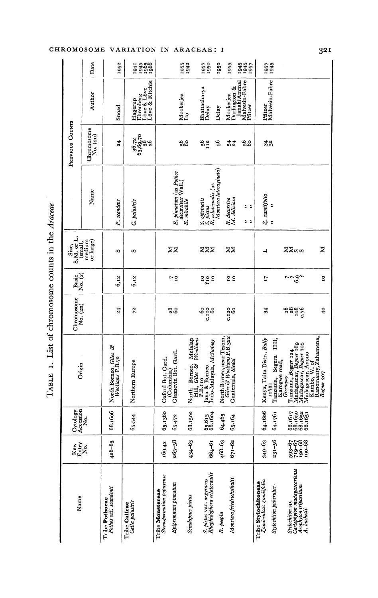| ֧֧ׅ֧ׅ֧ׅ֧ׅ֧ׅ֧ׅ֧ׅ֧ׅ֧ׅ֧֚֚֚֚֚֚֚֚֚֚֚֚֚֚֚֚֚֚֚֓֕֜֝֜֜֜      |
|-----------------------------------------------------|
| ĺ                                                   |
| $0.01140 + 0.140$                                   |
| sample of the second second<br>$\ddot{\phantom{0}}$ |
|                                                     |
| ֠                                                   |
| l                                                   |
| Į                                                   |

|                                     | Date                   | 1952                                            | 1965<br>1965<br>1966<br>1941                                 |                                                                      | 1955<br>1942                                    | 1957<br>1950                                                | 1950                      | 1955                                          | :945<br>1945<br>1957      | I <sub>057</sub>                              | 1945                                                 |                                                                                                           |                                                    |
|-------------------------------------|------------------------|-------------------------------------------------|--------------------------------------------------------------|----------------------------------------------------------------------|-------------------------------------------------|-------------------------------------------------------------|---------------------------|-----------------------------------------------|---------------------------|-----------------------------------------------|------------------------------------------------------|-----------------------------------------------------------------------------------------------------------|----------------------------------------------------|
|                                     | Author                 | Snoad                                           | Ehrenberg<br>Löve & Löve<br>Löve & Ritchie<br>Hagerup        |                                                                      | Mookerjea<br>Ito                                | Bhattacharya<br>Delay                                       | Delay                     | Darlington &<br>Janaki Ammal<br>Mookerjea     | Malvesin-Fabre<br>Pfitzer | Pfitzer                                       | Malvesin-Fabre                                       |                                                                                                           |                                                    |
| PREVIOUS COUNTS                     | Chromosome<br>No. (2n) | 24                                              | $\begin{array}{c} 36,72 \\ 63,69,70 \\ 36 \\ 36 \end{array}$ |                                                                      | <b>99</b>                                       | $56$<br>$12$                                                | \$                        | 34                                            | ್ಲಿಂ                      | $32^{\circ}$                                  |                                                      |                                                                                                           |                                                    |
|                                     | Name                   | P. scandens                                     | C. palustris                                                 | E. pinnatum (as Pothos                                               | decursivus Wall.)<br>E. mirabile                | S. officinalis<br>S. pictus<br>R. celatocaulis (as          | Monstera latevaginata)    | R. decursiva<br>M. deliciosa                  | 2.2<br>ລ ລ                | Z. zamiifolia                                 | $\ddot{\phantom{0}}$<br>$\ddot{\phantom{0}}$         |                                                                                                           |                                                    |
| S.M. or L.<br>(small,               | medium<br>or large)    | S                                               | s                                                            | ≍≍                                                                   |                                                 | zzz                                                         |                           | ≍≍                                            |                           | ᆸ                                             |                                                      | ⊠⊠ຜ                                                                                                       | Σ                                                  |
| $\lim_{\mathbf{No.}\,(\mathbf{x})}$ |                        | 6,12                                            | 6,12                                                         | $\frac{5}{4}$                                                        |                                                 | aga<br>Pa                                                   |                           | $\frac{1}{2}$                                 |                           | L1                                            |                                                      | نې<br>د دې                                                                                                | ្អ                                                 |
| Chromosome<br>No. (2n)              |                        | $\overline{24}$                                 | 24                                                           | 88<br>69                                                             |                                                 | So<br>c.110<br>60                                           |                           | c.120<br>60                                   |                           | 34                                            |                                                      | 28<br>108<br>c.76                                                                                         | $\overline{\mathbf{c}}$                            |
| Origin                              |                        | North Borneo, <i>Giles</i> &<br>Wooliams P.B.72 | Northern Europe                                              | Glasnevin Bot, Gard,<br>Oxford Bot. Gard.<br>(Columbia)              | North Borneo, Melalap<br>Hill, Giles & Wooliams | P.B.i 10<br>Java & Borneo<br>Indo-Malaysia, <i>McSwiney</i> | North Borneo, near Tesom, | Giles & Wooliams P.B.322<br>Guatemala, Siedal |                           | Kenya, Taita Distr., Bally                    | 臣<br>王<br>Tanzania, Segera<br>Karogwe road,<br>12731 | Tanzania, Bogner 124<br>Madagascar, Bogner 169<br>Madagascar, Bogner 105<br>Madagascar, Anono<br>Greenway | Ranomanty, Zahamena,<br>Kambo, W. of<br>Bogner 207 |
| Cytology<br>Accession<br>ż.         |                        | 68.1606                                         | 65-544                                                       | 65.1360<br>65.472                                                    | 68.1502                                         | 65.613<br>68.1604                                           | 64.465                    | 65.164                                        |                           | 64.1606                                       | 64.1761                                              | 68.1617<br>68.1652<br>68.1651<br>68.1651                                                                  |                                                    |
| Kew<br>Hat?<br>Nat                  |                        | $426 - 63$                                      |                                                              | $263 - 58$<br>169.42                                                 | $434 - 63$                                      | $664 - 61$                                                  | $468 - 63$                | $671 - 62$                                    |                           | 349-63                                        | 231-56                                               | 593-67<br>719-68<br>719-68<br>190-68                                                                      |                                                    |
| Name                                |                        |                                                 | Calla palustris<br>Tribe Calleae                             | Stenospermation popayense<br>Epipremnum pinnatum<br>Tribe Monstereae | Scindapsus pictus                               | S. pictus var. argyraeus<br>Rhaphidophora celatocaulis      | R. peepla                 | Monstera friedrichsthalii                     |                           | Zamioculcas zamifolia<br>Tribe Stylochitoneae | Stylochiton puberulus                                | Carlephyton madagascariense<br>Arophyton tripartitum<br>A. buchetii<br>Stylochiton sp.                    |                                                    |

# CHROMOSOME VARIATION IN ARACEAE: I

 $32I$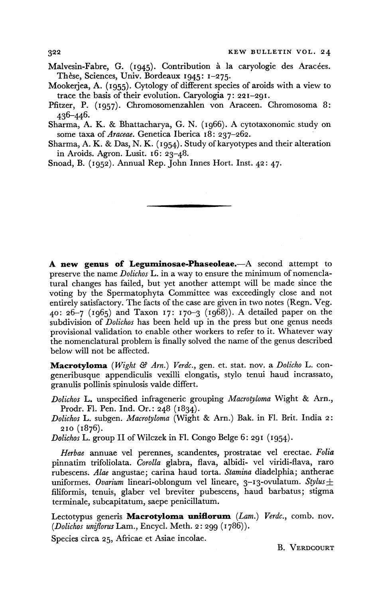- **Malvesin-Fabre, G.** (1945). Contribution à la caryologie des Aracées. **These, Sciences, Univ. Bordeaux 1945: 1-275.**
- **Mookerjea, A. (1955). Cytology of different species of aroids with a view to trace the basis of their evolution. Caryologia 7: 221-291.**
- **Pfitzer, P. (1957). Chromosomenzahlen von Araceen. Chromosoma 8: 436-446.**

**Sharma, A. K. & Bhattacharya, G. N. (1966). A cytotaxonomic study on some taxa of Araceae. Genetica Iberica I8: 237-262.** 

**Sharma, A. K. & Das, N. K. (1954). Study of karyotypes and their alteration in Aroids. Agron. Lusit. 16: 23-48.** 

**Snoad, B. (1952). Annual Rep. John Innes Hort. Inst. 42: 47.** 

A new genus of Leguminosae-Phaseoleae.-A second attempt to **preserve the name Dolichos L. in a way to ensure the minimum of nomenclatural changes has failed, but yet another attempt will be made since the voting by the Spermatophyta Committee was exceedingly close and not entirely satisfactory. The facts of the case are given in two notes (Regn. Veg. 40: 26-7 (1965) and Taxon 17: 170-3 (1968)). A detailed paper on the subdivision of Dolichos has been held up in the press but one genus needs provisional validation to enable other workers to refer to it. Whatever way the nomenclatural problem is finally solved the name of the genus described below will not be affected.** 

Macrotyloma (Wight & Arn.) Verdc., gen. et. stat. nov. a Dolicho L. con**generibusque appendiculis vexilli elongatis, stylo tenui haud incrassato, granulis pollinis spinulosis valde differt.** 

**Dolichos L. unspecified infrageneric grouping Macrotyloma Wight & Arn., Prodr. Fl. Pen. Ind. Or.: 248 (1834).** 

**Dolichos L. subgen. Macrotyloma (Wight & Arn.) Bak. in Fl. Brit. India 2: 210 (1876).** 

**Dolichos L. group II of Wilczek in Fl. Congo Belge 6: 291 (1954).** 

**Herbae annuae vel perennes, scandentes, prostratae vel erectae. Folia pinnatim trifoliolata. Corolla glabra, flava, albidi- vel viridi-flava, raro rubescens. Alae angustae; carina haud torta. Stamina diadelphia; antherae**  uniformes. *Ovarium* lineari-oblongum vel lineare, 3–13-ovulatum. Stylus  $\pm$ **filiformis, tenuis, glaber vel breviter pubescens, haud barbatus; stigma terminale, subcapitatum, saepe penicillatum.** 

Lectotypus generis Macrotyloma uniflorum (Lam.) Verdc., comb. nov. **(Dolichos uniflorus Lam., Encycl. Meth. 2: 299 (1786)).** 

**Species circa 25, Africae et Asiae incolae.** 

**B. VERDCOURT**